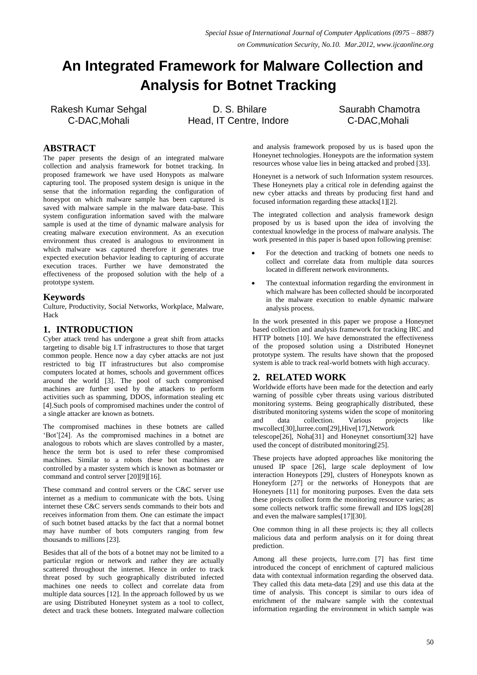# **An Integrated Framework for Malware Collection and Analysis for Botnet Tracking**

Rakesh Kumar Sehgal C-DAC,Mohali

D. S. Bhilare Head, IT Centre, Indore Saurabh Chamotra C-DAC,Mohali

## **ABSTRACT**

The paper presents the design of an integrated malware collection and analysis framework for botnet tracking. In proposed framework we have used Honypots as malware capturing tool. The proposed system design is unique in the sense that the information regarding the configuration of honeypot on which malware sample has been captured is saved with malware sample in the malware data-base. This system configuration information saved with the malware sample is used at the time of dynamic malware analysis for creating malware execution environment. As an execution environment thus created is analogous to environment in which malware was captured therefore it generates true expected execution behavior leading to capturing of accurate execution traces. Further we have demonstrated the effectiveness of the proposed solution with the help of a prototype system.

## **Keywords**

Culture, Productivity, Social Networks, Workplace, Malware, Hack

# **1. INTRODUCTION**

Cyber attack trend has undergone a great shift from attacks targeting to disable big I.T infrastructures to those that target common people. Hence now a day cyber attacks are not just restricted to big IT infrastructures but also compromise computers located at homes, schools and government offices around the world [3]. The pool of such compromised machines are further used by the attackers to perform activities such as spamming, DDOS, information stealing etc [4].Such pools of compromised machines under the control of a single attacker are known as botnets.

The compromised machines in these botnets are called "Bot"[24]. As the compromised machines in a botnet are analogous to robots which are slaves controlled by a master, hence the term bot is used to refer these compromised machines. Similar to a robots these bot machines are controlled by a master system which is known as botmaster or command and control server [20][9][16].

These command and control servers or the C&C server use internet as a medium to communicate with the bots. Using internet these C&C servers sends commands to their bots and receives information from them. One can estimate the impact of such botnet based attacks by the fact that a normal botnet may have number of bots computers ranging from few thousands to millions [23].

Besides that all of the bots of a botnet may not be limited to a particular region or network and rather they are actually scattered throughout the internet. Hence in order to track threat posed by such geographically distributed infected machines one needs to collect and correlate data from multiple data sources [12]. In the approach followed by us we are using Distributed Honeynet system as a tool to collect, detect and track these botnets. Integrated malware collection and analysis framework proposed by us is based upon the Honeynet technologies. Honeypots are the information system resources whose value lies in being attacked and probed [33].

Honeynet is a network of such Information system resources. These Honeynets play a critical role in defending against the new cyber attacks and threats by producing first hand and focused information regarding these attacks[1][2].

The integrated collection and analysis framework design proposed by us is based upon the idea of involving the contextual knowledge in the process of malware analysis. The work presented in this paper is based upon following premise:

- For the detection and tracking of botnets one needs to collect and correlate data from multiple data sources located in different network environments.
- The contextual information regarding the environment in which malware has been collected should be incorporated in the malware execution to enable dynamic malware analysis process.

In the work presented in this paper we propose a Honeynet based collection and analysis framework for tracking IRC and HTTP botnets [10]. We have demonstrated the effectiveness of the proposed solution using a Distributed Honeynet prototype system. The results have shown that the proposed system is able to track real-world botnets with high accuracy.

## **2. RELATED WORK**

Worldwide efforts have been made for the detection and early warning of possible cyber threats using various distributed monitoring systems. Being geographically distributed, these distributed monitoring systems widen the scope of monitoring and data collection. Various projects like mwcollect[30],lurree.com[29],Hive[17],Network

telescope[26], Noha[31] and Honeynet consortium[32] have used the concept of distributed monitoring[25].

These projects have adopted approaches like monitoring the unused IP space [26], large scale deployment of low interaction Honeypots [29], clusters of Honeypots known as Honeyform [27] or the networks of Honeypots that are Honeynets [11] for monitoring purposes. Even the data sets these projects collect form the monitoring resource varies; as some collects network traffic some firewall and IDS logs[28] and even the malware samples[17][30].

One common thing in all these projects is; they all collects malicious data and perform analysis on it for doing threat prediction.

Among all these projects, lurre.com [7] has first time introduced the concept of enrichment of captured malicious data with contextual information regarding the observed data. They called this data meta-data [29] and use this data at the time of analysis. This concept is similar to ours idea of enrichment of the malware sample with the contextual information regarding the environment in which sample was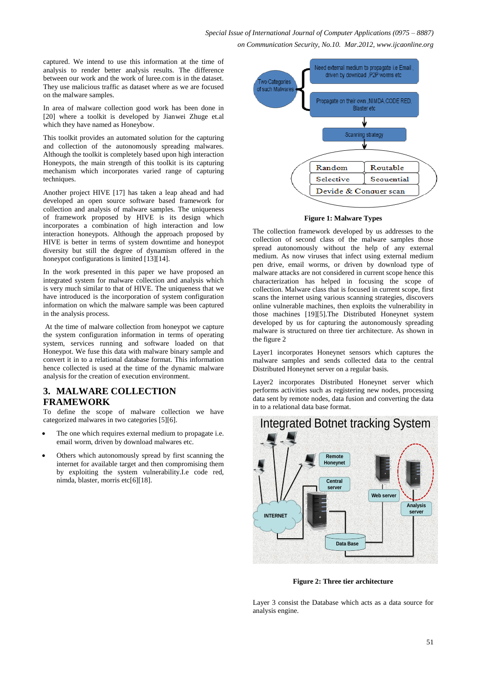captured. We intend to use this information at the time of analysis to render better analysis results. The difference between our work and the work of luree.com is in the dataset. They use malicious traffic as dataset where as we are focused on the malware samples.

In area of malware collection good work has been done in [20] where a toolkit is developed by Jianwei Zhuge et.al which they have named as Honeybow.

This toolkit provides an automated solution for the capturing and collection of the autonomously spreading malwares. Although the toolkit is completely based upon high interaction Honeypots, the main strength of this toolkit is its capturing mechanism which incorporates varied range of capturing techniques.

Another project HIVE [17] has taken a leap ahead and had developed an open source software based framework for collection and analysis of malware samples. The uniqueness of framework proposed by HIVE is its design which incorporates a combination of high interaction and low interaction honeypots. Although the approach proposed by HIVE is better in terms of system downtime and honeypot diversity but still the degree of dynamism offered in the honeypot configurations is limited [13][14].

In the work presented in this paper we have proposed an integrated system for malware collection and analysis which is very much similar to that of HIVE. The uniqueness that we have introduced is the incorporation of system configuration information on which the malware sample was been captured in the analysis process.

At the time of malware collection from honeypot we capture the system configuration information in terms of operating system, services running and software loaded on that Honeypot. We fuse this data with malware binary sample and convert it in to a relational database format. This information hence collected is used at the time of the dynamic malware analysis for the creation of execution environment.

## **3. MALWARE COLLECTION FRAMEWORK**

To define the scope of malware collection we have categorized malwares in two categories [5][6].

- The one which requires external medium to propagate i.e. email worm, driven by download malwares etc.
- Others which autonomously spread by first scanning the internet for available target and then compromising them by exploiting the system vulnerability.I.e code red, nimda, blaster, morris etc[6][18].



#### **Figure 1: Malware Types**

The collection framework developed by us addresses to the collection of second class of the malware samples those spread autonomously without the help of any external medium. As now viruses that infect using external medium pen drive, email worms, or driven by download type of malware attacks are not considered in current scope hence this characterization has helped in focusing the scope of collection. Malware class that is focused in current scope, first scans the internet using various scanning strategies, discovers online vulnerable machines, then exploits the vulnerability in those machines [19][5].The Distributed Honeynet system developed by us for capturing the autonomously spreading malware is structured on three tier architecture. As shown in the figure 2

Layer1 incorporates Honeynet sensors which captures the malware samples and sends collected data to the central Distributed Honeynet server on a regular basis.

Layer2 incorporates Distributed Honeynet server which performs activities such as registering new nodes, processing data sent by remote nodes, data fusion and converting the data in to a relational data base format.



**Figure 2: Three tier architecture**

Layer 3 consist the Database which acts as a data source for analysis engine.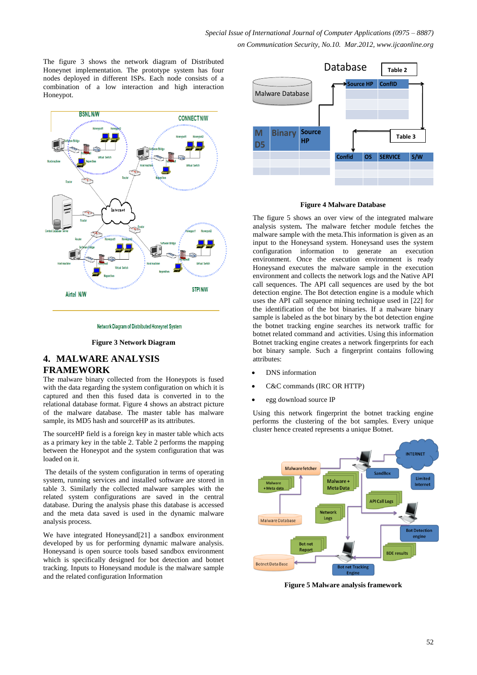The figure 3 shows the network diagram of Distributed Honeynet implementation. The prototype system has four nodes deployed in different ISPs. Each node consists of a combination of a low interaction and high interaction Honeypot.



Network Diagram of Distributed Honeynet System

**Figure 3 Network Diagram**

# **4. MALWARE ANALYSIS FRAMEWORK**

The malware binary collected from the Honeypots is fused with the data regarding the system configuration on which it is captured and then this fused data is converted in to the relational database format. Figure 4 shows an abstract picture of the malware database. The master table has malware sample, its MD5 hash and sourceHP as its attributes.

The sourceHP field is a foreign key in master table which acts as a primary key in the table 2. Table 2 performs the mapping between the Honeypot and the system configuration that was loaded on it.

The details of the system configuration in terms of operating system, running services and installed software are stored in table 3. Similarly the collected malware samples with the related system configurations are saved in the central database. During the analysis phase this database is accessed and the meta data saved is used in the dynamic malware analysis process.

We have integrated Honeysand[21] a sandbox environment developed by us for performing dynamic malware analysis. Honeysand is open source tools based sandbox environment which is specifically designed for bot detection and botnet tracking. Inputs to Honeysand module is the malware sample and the related configuration Information



#### **Figure 4 Malware Database**

The figure 5 shows an over view of the integrated malware analysis system**.** The malware fetcher module fetches the malware sample with the meta.This information is given as an input to the Honeysand system. Honeysand uses the system configuration information to generate an execution environment. Once the execution environment is ready Honeysand executes the malware sample in the execution environment and collects the network logs and the Native API call sequences. The API call sequences are used by the bot detection engine. The Bot detection engine is a module which uses the API call sequence mining technique used in [22] for the identification of the bot binaries. If a malware binary sample is labeled as the bot binary by the bot detection engine the botnet tracking engine searches its network traffic for botnet related command and activities. Using this information Botnet tracking engine creates a network fingerprints for each bot binary sample. Such a fingerprint contains following attributes:

- DNS information
- C&C commands (IRC OR HTTP)
- egg download source IP

Using this network fingerprint the botnet tracking engine performs the clustering of the bot samples. Every unique cluster hence created represents a unique Botnet.



**Figure 5 Malware analysis framework**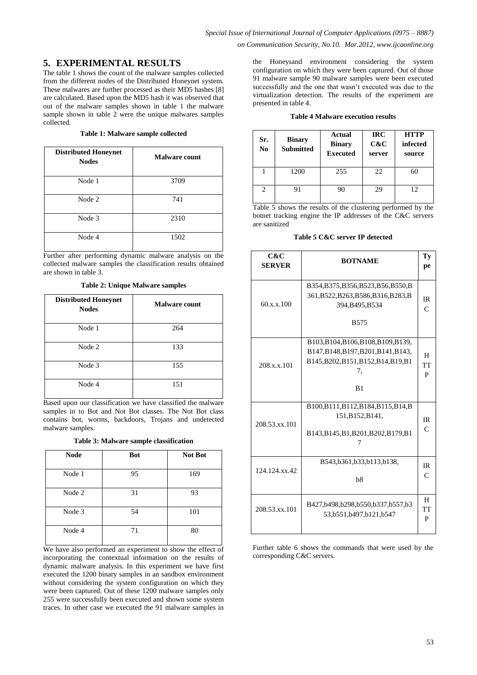# **5. EXPERIMENTAL RESULTS**

The table 1 shows the count of the malware samples collected from the different nodes of the Distributed Honeynet system. These malwares are further processed as their MD5 hashes [8] are calculated. Based upon the MD5 hash it was observed that out of the malware samples shown in table 1 the malware sample shown in table 2 were the unique malwares samples collected.

### **Table 1: Malware sample collected**

| <b>Distributed Honeynet</b><br><b>Nodes</b> | <b>Malware count</b> |
|---------------------------------------------|----------------------|
| Node 1                                      | 3709                 |
| Node 2                                      | 741                  |
| Node 3                                      | 2310                 |
| Node 4                                      | 1502                 |

Further after performing dynamic malware analysis on the collected malware samples the classification results obtained are shown in table 3.

**Table 2: Unique Malware samples**

| <b>Distributed Honeynet</b><br><b>Nodes</b> | <b>Malware count</b> |
|---------------------------------------------|----------------------|
| Node 1                                      | 264                  |
| Node 2                                      | 133                  |
| Node 3                                      | 155                  |
| Node 4                                      | 151                  |

Based upon our classification we have classified the malware samples in to Bot and Not Bot classes. The Not Bot class contains bot, worms, backdoors, Trojans and undetected malware samples.

**Table 3: Malware sample classification**

| <b>Node</b> | <b>Bot</b> | <b>Not Bot</b> |
|-------------|------------|----------------|
| Node 1      | 95         | 169            |
| Node 2      | 31         | 93             |
| Node 3      | 54         | 101            |
| Node 4      | 71         | 80             |

We have also performed an experiment to show the effect of incorporating the contextual information on the results of dynamic malware analysis. In this experiment we have first executed the 1200 binary samples in an sandbox environment without considering the system configuration on which they were been captured. Out of these 1200 malware samples only 255 were successfully been executed and shown some system traces. In other case we executed the 91 malware samples in

the Honeysand environment considering the system configuration on which they were been captured. Out of those 91 malware sample 90 malware samples were been executed successfully and the one that wasn't executed was due to the virtualization detection. The results of the experiment are presented in table 4.

|  |  |  | <b>Table 4 Malware execution results</b> |  |
|--|--|--|------------------------------------------|--|
|--|--|--|------------------------------------------|--|

| Sr.<br>N <sub>0</sub> | <b>Binary</b><br><b>Submitted</b> | Actual<br><b>Binary</b><br><b>Executed</b> | <b>IRC</b><br>C&C<br>server | <b>HTTP</b><br>infected<br>source |
|-----------------------|-----------------------------------|--------------------------------------------|-----------------------------|-----------------------------------|
|                       | 1200                              | 255                                        | 22                          | 60                                |
| 2                     | 91                                | 90                                         | 29                          | 12                                |

Table 5 shows the results of the clustering performed by the botnet tracking engine the IP addresses of the C&C servers are sanitized

## **Table 5 C&C server IP detected**

| C&C<br><b>SERVER</b> | <b>BOTNAME</b>                                                                                                                 | Ty<br>pe                  |
|----------------------|--------------------------------------------------------------------------------------------------------------------------------|---------------------------|
| 60.x.x.100           | B354, B375, B356, B523, B56, B550, B<br>361, B522, B263, B586, B316, B283, B<br>394, B495, B534<br><b>B575</b>                 | IR<br>$\mathsf{C}$        |
| 208.x.x.101          | B103, B104, B106, B108, B109, B139,<br>B147, B148, B197, B201, B141, B143,<br>B145, B202, B151, B152, B14, B19, B1<br>7.<br>B1 | H<br>TT<br>P              |
| 208.53.xx.101        | B100, B111, B112, B184, B115, B14, B<br>151, B152, B141,<br>B143, B145, B1, B201, B202, B179, B1                               | <b>IR</b><br>$\mathsf{C}$ |
| 124.124.xx.42        | B543,b361,b33,b113,b138,<br>b8                                                                                                 | IR<br>$\mathsf{C}$        |
| 208.53.xx.101        | B427,b498,b298,b550,b337,b557,b3<br>53, b 551, b 497, b 121, b 547                                                             | H<br>TT<br>P              |

Further table 6 shows the commands that were used by the corresponding C&C servers.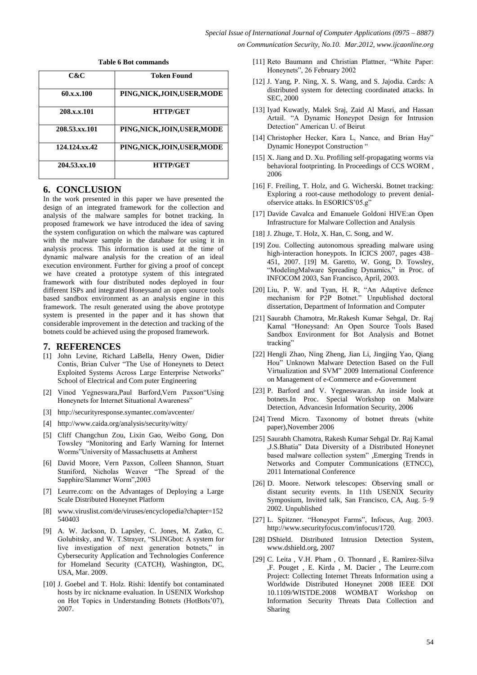| C&C           | <b>Token Found</b>           |
|---------------|------------------------------|
| 60.x.x.100    | PING, NICK, JOIN, USER, MODE |
| 208.x.x.101   | <b>HTTP/GET</b>              |
| 208.53.xx.101 | PING, NICK, JOIN, USER, MODE |
| 124.124.xx.42 | PING, NICK, JOIN, USER, MODE |
| 204.53.xx.10  | <b>HTTP/GET</b>              |

#### **Table 6 Bot commands**

## **6. CONCLUSION**

In the work presented in this paper we have presented the design of an integrated framework for the collection and analysis of the malware samples for botnet tracking. In proposed framework we have introduced the idea of saving the system configuration on which the malware was captured with the malware sample in the database for using it in analysis process. This information is used at the time of dynamic malware analysis for the creation of an ideal execution environment. Further for giving a proof of concept we have created a prototype system of this integrated framework with four distributed nodes deployed in four different ISPs and integrated Honeysand an open source tools based sandbox environment as an analysis engine in this framework. The result generated using the above prototype system is presented in the paper and it has shown that considerable improvement in the detection and tracking of the botnets could be achieved using the proposed framework.

## **7. REFERENCES**

- [1] John Levine, Richard LaBella, Henry Owen, Didier Contis, Brian Culver "The Use of Honeynets to Detect Exploited Systems Across Large Enterprise Networks" School of Electrical and Com puter Engineering
- [2] Vinod Yegneswara,Paul Barford,Vern Paxson"Using Honeynets for Internet Situational Awareness"
- [3] http://securityresponse.symantec.com/avcenter/
- [4] http://www.caida.org/analysis/security/witty/
- [5] Cliff Changchun Zou, Lixin Gao, Weibo Gong, Don Towsley "Monitoring and Early Warning for Internet Worms"University of Massachusetts at Amherst
- [6] David Moore, Vern Paxson, Colleen Shannon, Stuart Staniford, Nicholas Weaver "The Spread of the Sapphire/Slammer Worm",2003
- [7] Leurre.com: on the Advantages of Deploying a Large Scale Distributed Honeynet Platform
- [8] www.viruslist.com/de/viruses/encyclopedia?chapter=152 540403
- [9] A. W. Jackson, D. Lapsley, C. Jones, M. Zatko, C. Golubitsky, and W. T.Strayer, "SLINGbot: A system for live investigation of next generation botnets," in Cybersecurity Application and Technologies Conference for Homeland Security (CATCH), Washington, DC, USA, Mar. 2009.
- [10] J. Goebel and T. Holz. Rishi: Identify bot contaminated hosts by irc nickname evaluation. In USENIX Workshop on Hot Topics in Understanding Botnets (HotBots'07), 2007.
- [11] Reto Baumann and Christian Plattner, "White Paper: Honeynets", 26 February 2002
- [12] J. Yang, P. Ning, X. S. Wang, and S. Jajodia. Cards: A distributed system for detecting coordinated attacks. In SEC, 2000
- [13] Iyad Kuwatly, Malek Sraj, Zaid Al Masri, and Hassan Artail. "A Dynamic Honeypot Design for Intrusion Detection" American U. of Beirut
- [14] Christopher Hecker, Kara L, Nance, and Brian Hay" Dynamic Honeypot Construction "
- [15] X. Jiang and D. Xu. Profiling self-propagating worms via behavioral footprinting. In Proceedings of CCS WORM , 2006
- [16] F. Freiling, T. Holz, and G. Wicherski. Botnet tracking: Exploring a root-cause methodology to prevent denialofservice attaks. In ESORICS"05.g"
- [17] Davide Cavalca and Emanuele Goldoni HIVE:an Open Infrastructure for Malware Collection and Analysis
- [18] J. Zhuge, T. Holz, X. Han, C. Song, and W.
- [19] Zou. Collecting autonomous spreading malware using high-interaction honeypots. In ICICS 2007, pages 438– 451, 2007. [19] M. Garetto, W. Gong, D. Towsley, "ModelingMalware Spreading Dynamics," in Proc. of INFOCOM 2003, San Francisco, April, 2003.
- [20] Liu, P. W. and Tyan, H. R, "An Adaptive defence mechanism for P2P Botnet." Unpublished doctoral dissertation, Department of Information and Computer
- [21] Saurabh Chamotra, Mr.Rakesh Kumar Sehgal, Dr. Raj Kamal "Honeysand: An Open Source Tools Based Sandbox Environment for Bot Analysis and Botnet tracking"
- [22] Hengli Zhao, Ning Zheng, Jian Li, Jingjing Yao, Qiang Hou" Unknown Malware Detection Based on the Full Virtualization and SVM" 2009 International Conference on Management of e-Commerce and e-Government
- [23] P. Barford and V. Yegneswaran. An inside look at botnets.In Proc. Special Workshop on Malware Detection, Advancesin Information Security, 2006
- [24] Trend Micro. Taxonomy of botnet threats (white paper),November 2006
- [25] Saurabh Chamotra, Rakesh Kumar Sehgal Dr. Raj Kamal ,J.S.Bhatia" Data Diversity of a Distributed Honeynet based malware collection system" ,Emerging Trends in Networks and Computer Communications (ETNCC), 2011 International Conference
- [26] D. Moore. Network telescopes: Observing small or distant security events. In 11th USENIX Security Symposium, Invited talk, San Francisco, CA, Aug. 5–9 2002. Unpublished
- [27] L. Spitzner. "Honeypot Farms", Infocus, Aug. 2003. http://www.securityfocus.com/infocus/1720.
- [28] DShield. Distributed Intrusion Detection System, www.dshield.org, 2007
- [29] C. Leita , V.H. Pham , O. Thonnard , E. Ramirez-Silva ,F. Pouget , E. Kirda , M. Dacier , The Leurre.com Project: Collecting Internet Threats Information using a Worldwide Distributed Honeynet 2008 IEEE DOI 10.1109/WISTDE.2008 WOMBAT Workshop on Information Security Threats Data Collection and Sharing